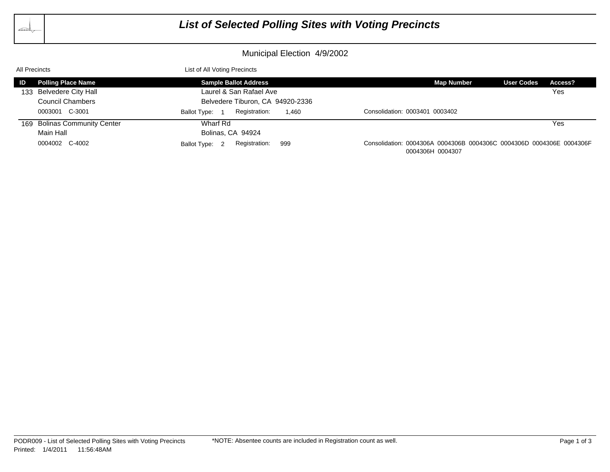

## *List of Selected Polling Sites with Voting Precincts*

## Municipal Election 4/9/2002

| All Precincts |                              | List of All Voting Precincts             |                                                                                          |         |
|---------------|------------------------------|------------------------------------------|------------------------------------------------------------------------------------------|---------|
| ID            | <b>Polling Place Name</b>    | <b>Sample Ballot Address</b>             | <b>Map Number</b><br><b>User Codes</b>                                                   | Access? |
|               | 133 Belvedere City Hall      | Laurel & San Rafael Ave                  |                                                                                          | Yes     |
|               | <b>Council Chambers</b>      | Belvedere Tiburon, CA 94920-2336         |                                                                                          |         |
|               | 0003001 C-3001               | Registration:<br>1.460<br>Ballot Type: 1 | Consolidation: 0003401 0003402                                                           |         |
|               | 169 Bolinas Community Center | Wharf Rd                                 |                                                                                          | Yes     |
|               | Main Hall                    | Bolinas, CA 94924                        |                                                                                          |         |
|               | 0004002 C-4002               | Registration:<br>999<br>Ballot Type: 2   | Consolidation: 0004306A 0004306B 0004306C 0004306D 0004306E 0004306F<br>0004306H 0004307 |         |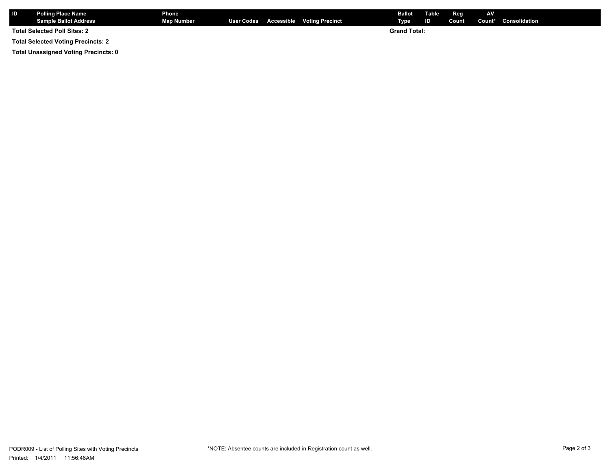| I ID                                | <b>Polling Place Name</b> | <b>Phone</b>      |  |  |                                       | <b>Ballot</b>       | Table          | Reg   | <b>AV</b> |                      |
|-------------------------------------|---------------------------|-------------------|--|--|---------------------------------------|---------------------|----------------|-------|-----------|----------------------|
|                                     | Sample Ballot Address     | <b>Map Number</b> |  |  | User Codes Accessible Voting Precinct | Type                | $\blacksquare$ | Count |           | Count* Consolidation |
| <b>Total Selected Poll Sites: 2</b> |                           |                   |  |  |                                       | <b>Grand Total:</b> |                |       |           |                      |

**Total Selected Voting Precincts: 2**

**Total Unassigned Voting Precincts: 0**